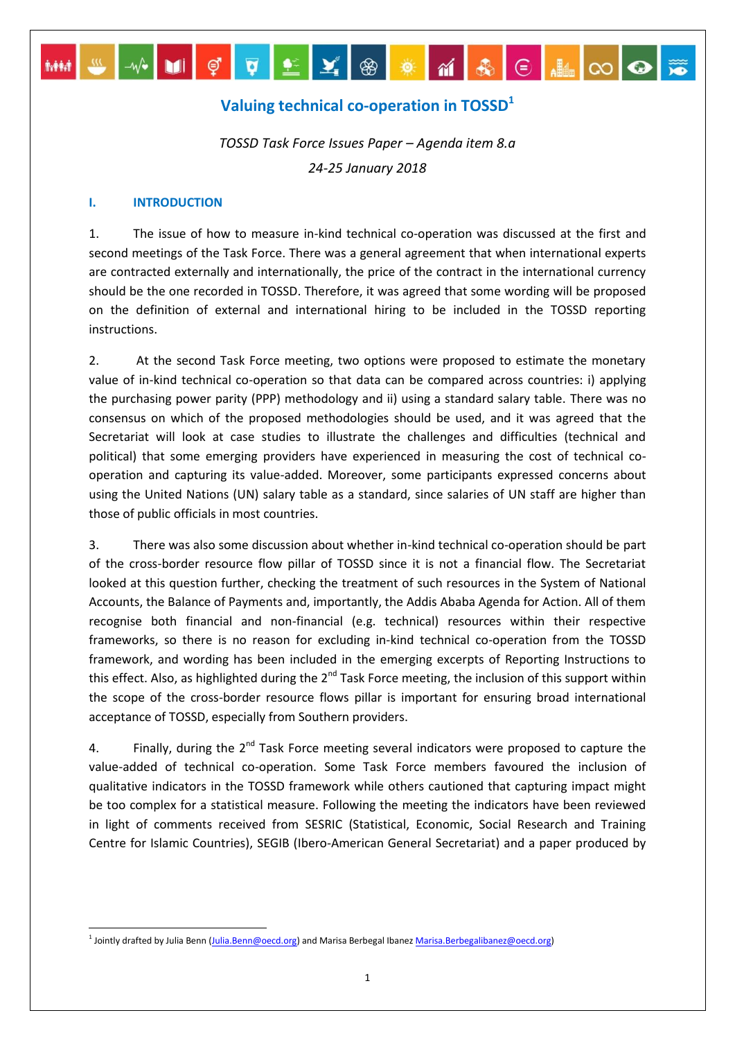# **Valuing technical co-operation in TOSSD<sup>1</sup>**

▎<sub></sub>**▕▕▗▎▏**▏▏▏▏▏▏▏▏▏▏▏▏▏▏▏▏▏▏

*TOSSD Task Force Issues Paper – Agenda item 8.a 24-25 January 2018*

#### **I. INTRODUCTION**

1

1. The issue of how to measure in-kind technical co-operation was discussed at the first and second meetings of the Task Force. There was a general agreement that when international experts are contracted externally and internationally, the price of the contract in the international currency should be the one recorded in TOSSD. Therefore, it was agreed that some wording will be proposed on the definition of external and international hiring to be included in the TOSSD reporting instructions.

2. At the second Task Force meeting, two options were proposed to estimate the monetary value of in-kind technical co-operation so that data can be compared across countries: i) applying the purchasing power parity (PPP) methodology and ii) using a standard salary table. There was no consensus on which of the proposed methodologies should be used, and it was agreed that the Secretariat will look at case studies to illustrate the challenges and difficulties (technical and political) that some emerging providers have experienced in measuring the cost of technical cooperation and capturing its value-added. Moreover, some participants expressed concerns about using the United Nations (UN) salary table as a standard, since salaries of UN staff are higher than those of public officials in most countries.

3. There was also some discussion about whether in-kind technical co-operation should be part of the cross-border resource flow pillar of TOSSD since it is not a financial flow. The Secretariat looked at this question further, checking the treatment of such resources in the System of National Accounts, the Balance of Payments and, importantly, the Addis Ababa Agenda for Action. All of them recognise both financial and non-financial (e.g. technical) resources within their respective frameworks, so there is no reason for excluding in-kind technical co-operation from the TOSSD framework, and wording has been included in the emerging excerpts of Reporting Instructions to this effect. Also, as highlighted during the  $2^{nd}$  Task Force meeting, the inclusion of this support within the scope of the cross-border resource flows pillar is important for ensuring broad international acceptance of TOSSD, especially from Southern providers.

4. Finally, during the  $2^{nd}$  Task Force meeting several indicators were proposed to capture the value-added of technical co-operation. Some Task Force members favoured the inclusion of qualitative indicators in the TOSSD framework while others cautioned that capturing impact might be too complex for a statistical measure. Following the meeting the indicators have been reviewed in light of comments received from SESRIC (Statistical, Economic, Social Research and Training Centre for Islamic Countries), SEGIB (Ibero-American General Secretariat) and a paper produced by

<sup>&</sup>lt;sup>1</sup> Jointly drafted by Julia Benn (Julia.Benn@oecd.org) and Marisa Berbegal Ibanez <u>Marisa.Berbegalibanez@oecd.org</u>)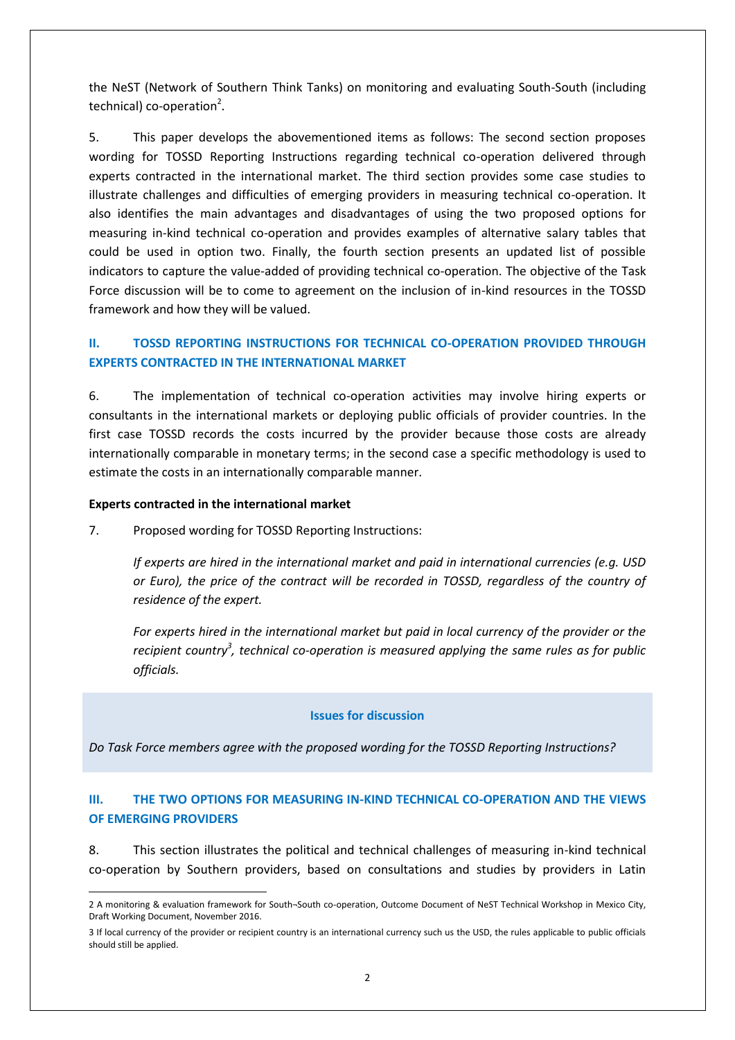the NeST (Network of Southern Think Tanks) on monitoring and evaluating South-South (including technical) co-operation<sup>2</sup>.

5. This paper develops the abovementioned items as follows: The second section proposes wording for TOSSD Reporting Instructions regarding technical co-operation delivered through experts contracted in the international market. The third section provides some case studies to illustrate challenges and difficulties of emerging providers in measuring technical co-operation. It also identifies the main advantages and disadvantages of using the two proposed options for measuring in-kind technical co-operation and provides examples of alternative salary tables that could be used in option two. Finally, the fourth section presents an updated list of possible indicators to capture the value-added of providing technical co-operation. The objective of the Task Force discussion will be to come to agreement on the inclusion of in-kind resources in the TOSSD framework and how they will be valued.

# **II. TOSSD REPORTING INSTRUCTIONS FOR TECHNICAL CO-OPERATION PROVIDED THROUGH EXPERTS CONTRACTED IN THE INTERNATIONAL MARKET**

6. The implementation of technical co-operation activities may involve hiring experts or consultants in the international markets or deploying public officials of provider countries. In the first case TOSSD records the costs incurred by the provider because those costs are already internationally comparable in monetary terms; in the second case a specific methodology is used to estimate the costs in an internationally comparable manner.

#### **Experts contracted in the international market**

**.** 

7. Proposed wording for TOSSD Reporting Instructions:

*If experts are hired in the international market and paid in international currencies (e.g. USD or Euro), the price of the contract will be recorded in TOSSD, regardless of the country of residence of the expert.*

*For experts hired in the international market but paid in local currency of the provider or the*  recipient country<sup>3</sup>, technical co-operation is measured applying the same rules as for public *officials.*

#### **Issues for discussion**

*Do Task Force members agree with the proposed wording for the TOSSD Reporting Instructions?*

### **III. THE TWO OPTIONS FOR MEASURING IN-KIND TECHNICAL CO-OPERATION AND THE VIEWS OF EMERGING PROVIDERS**

8. This section illustrates the political and technical challenges of measuring in-kind technical co-operation by Southern providers, based on consultations and studies by providers in Latin

<sup>2</sup> A monitoring & evaluation framework for South¬South co-operation, Outcome Document of NeST Technical Workshop in Mexico City, Draft Working Document, November 2016.

<sup>3</sup> If local currency of the provider or recipient country is an international currency such us the USD, the rules applicable to public officials should still be applied.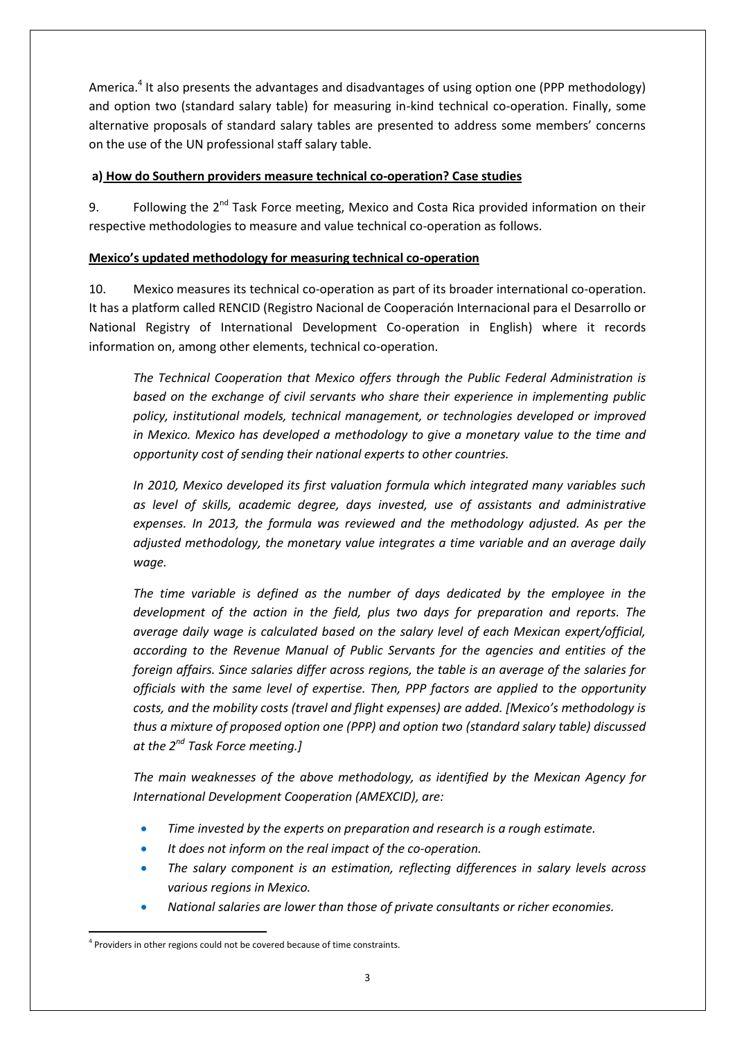America.<sup>4</sup> It also presents the advantages and disadvantages of using option one (PPP methodology) and option two (standard salary table) for measuring in-kind technical co-operation. Finally, some alternative proposals of standard salary tables are presented to address some members' concerns on the use of the UN professional staff salary table.

### **a) How do Southern providers measure technical co-operation? Case studies**

9. Following the 2<sup>nd</sup> Task Force meeting, Mexico and Costa Rica provided information on their respective methodologies to measure and value technical co-operation as follows.

### **Mexico's updated methodology for measuring technical co-operation**

10. Mexico measures its technical co-operation as part of its broader international co-operation. It has a platform called RENCID (Registro Nacional de Cooperación Internacional para el Desarrollo or National Registry of International Development Co-operation in English) where it records information on, among other elements, technical co-operation.

*The Technical Cooperation that Mexico offers through the Public Federal Administration is based on the exchange of civil servants who share their experience in implementing public policy, institutional models, technical management, or technologies developed or improved in Mexico. Mexico has developed a methodology to give a monetary value to the time and opportunity cost of sending their national experts to other countries.*

*In 2010, Mexico developed its first valuation formula which integrated many variables such as level of skills, academic degree, days invested, use of assistants and administrative expenses. In 2013, the formula was reviewed and the methodology adjusted. As per the adjusted methodology, the monetary value integrates a time variable and an average daily wage.*

*The time variable is defined as the number of days dedicated by the employee in the development of the action in the field, plus two days for preparation and reports. The average daily wage is calculated based on the salary level of each Mexican expert/official, according to the Revenue Manual of Public Servants for the agencies and entities of the foreign affairs. Since salaries differ across regions, the table is an average of the salaries for officials with the same level of expertise. Then, PPP factors are applied to the opportunity costs, and the mobility costs (travel and flight expenses) are added. [Mexico's methodology is thus a mixture of proposed option one (PPP) and option two (standard salary table) discussed at the 2nd Task Force meeting.]*

*The main weaknesses of the above methodology, as identified by the Mexican Agency for International Development Cooperation (AMEXCID), are:*

- *Time invested by the experts on preparation and research is a rough estimate.*
- *It does not inform on the real impact of the co-operation.*
- *The salary component is an estimation, reflecting differences in salary levels across various regions in Mexico.*
- *National salaries are lower than those of private consultants or richer economies.*

<sup>1</sup> <sup>4</sup> Providers in other regions could not be covered because of time constraints.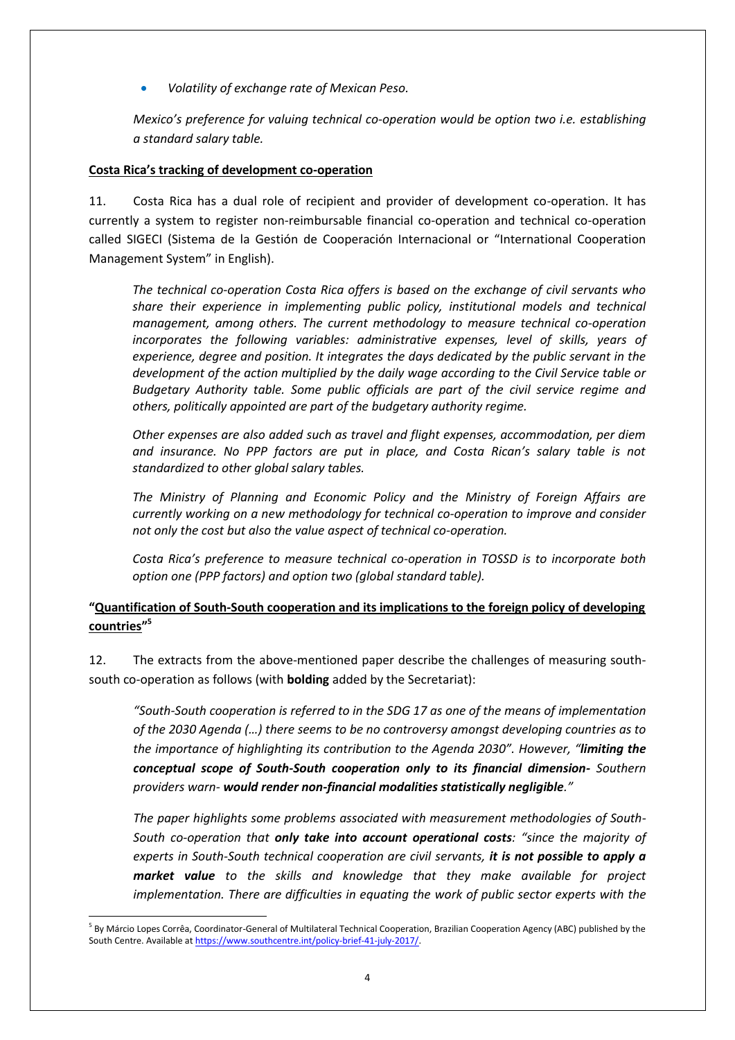*Volatility of exchange rate of Mexican Peso.*

*Mexico's preference for valuing technical co-operation would be option two i.e. establishing a standard salary table.*

### **Costa Rica's tracking of development co-operation**

11. Costa Rica has a dual role of recipient and provider of development co-operation. It has currently a system to register non-reimbursable financial co-operation and technical co-operation called SIGECI (Sistema de la Gestión de Cooperación Internacional or "International Cooperation Management System" in English).

*The technical co-operation Costa Rica offers is based on the exchange of civil servants who share their experience in implementing public policy, institutional models and technical management, among others. The current methodology to measure technical co-operation incorporates the following variables: administrative expenses, level of skills, years of experience, degree and position. It integrates the days dedicated by the public servant in the development of the action multiplied by the daily wage according to the Civil Service table or Budgetary Authority table. Some public officials are part of the civil service regime and others, politically appointed are part of the budgetary authority regime.*

*Other expenses are also added such as travel and flight expenses, accommodation, per diem and insurance. No PPP factors are put in place, and Costa Rican's salary table is not standardized to other global salary tables.* 

*The Ministry of Planning and Economic Policy and the Ministry of Foreign Affairs are currently working on a new methodology for technical co-operation to improve and consider not only the cost but also the value aspect of technical co-operation.* 

*Costa Rica's preference to measure technical co-operation in TOSSD is to incorporate both option one (PPP factors) and option two (global standard table).*

# **"Quantification of South-South cooperation and its implications to the foreign policy of developing countries" 5**

12. The extracts from the above-mentioned paper describe the challenges of measuring southsouth co-operation as follows (with **bolding** added by the Secretariat):

*"South-South cooperation is referred to in the SDG 17 as one of the means of implementation of the 2030 Agenda (…) there seems to be no controversy amongst developing countries as to the importance of highlighting its contribution to the Agenda 2030". However, "limiting the conceptual scope of South-South cooperation only to its financial dimension- Southern providers warn- would render non-financial modalities statistically negligible."*

*The paper highlights some problems associated with measurement methodologies of South-South co-operation that only take into account operational costs: "since the majority of experts in South-South technical cooperation are civil servants, it is not possible to apply a market value to the skills and knowledge that they make available for project implementation. There are difficulties in equating the work of public sector experts with the* 

<sup>1</sup> <sup>5</sup> By Márcio Lopes Corrêa, Coordinator-General of Multilateral Technical Cooperation, Brazilian Cooperation Agency (ABC) published by the South Centre. Available a[t https://www.southcentre.int/policy-brief-41-july-2017/.](https://www.southcentre.int/policy-brief-41-july-2017/)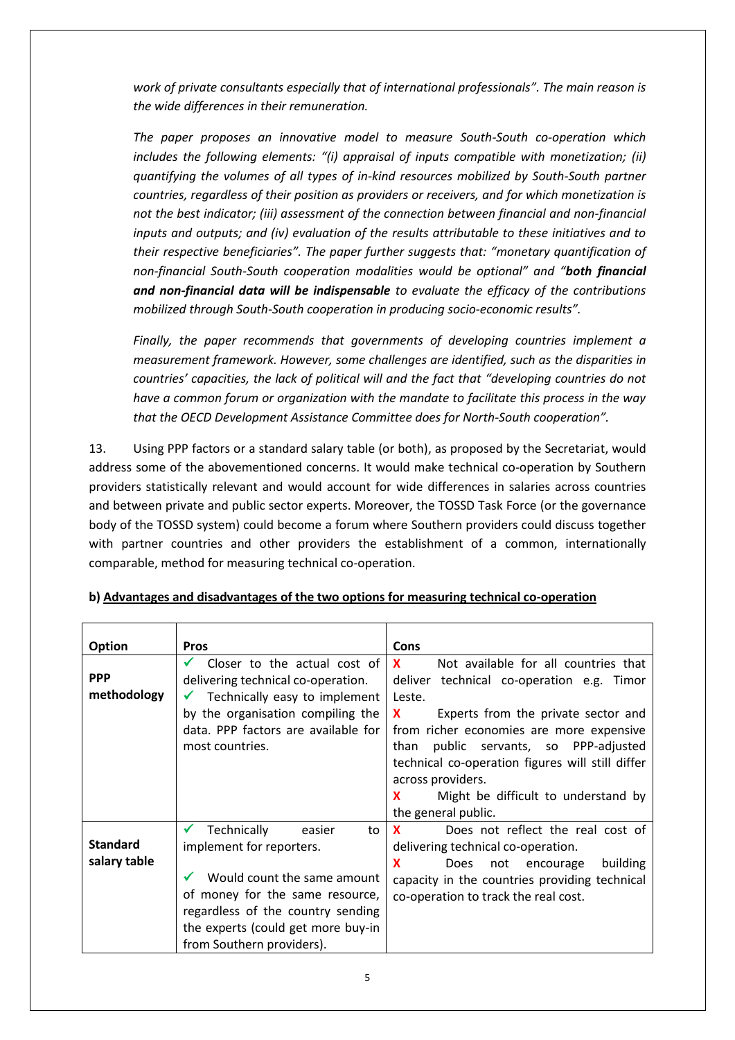*work of private consultants especially that of international professionals". The main reason is the wide differences in their remuneration.*

*The paper proposes an innovative model to measure South-South co-operation which includes the following elements: "(i) appraisal of inputs compatible with monetization; (ii) quantifying the volumes of all types of in-kind resources mobilized by South-South partner countries, regardless of their position as providers or receivers, and for which monetization is not the best indicator; (iii) assessment of the connection between financial and non-financial inputs and outputs; and (iv) evaluation of the results attributable to these initiatives and to their respective beneficiaries". The paper further suggests that: "monetary quantification of non-financial South-South cooperation modalities would be optional" and "both financial and non-financial data will be indispensable to evaluate the efficacy of the contributions mobilized through South-South cooperation in producing socio-economic results".* 

*Finally, the paper recommends that governments of developing countries implement a measurement framework. However, some challenges are identified, such as the disparities in countries' capacities, the lack of political will and the fact that "developing countries do not have a common forum or organization with the mandate to facilitate this process in the way that the OECD Development Assistance Committee does for North-South cooperation".* 

13. Using PPP factors or a standard salary table (or both), as proposed by the Secretariat, would address some of the abovementioned concerns. It would make technical co-operation by Southern providers statistically relevant and would account for wide differences in salaries across countries and between private and public sector experts. Moreover, the TOSSD Task Force (or the governance body of the TOSSD system) could become a forum where Southern providers could discuss together with partner countries and other providers the establishment of a common, internationally comparable, method for measuring technical co-operation.

| Option                          | <b>Pros</b>                                                                                                                                                                                                                                       | Cons                                                                                                                                                                                                                                                                                                                                                                                                      |  |  |
|---------------------------------|---------------------------------------------------------------------------------------------------------------------------------------------------------------------------------------------------------------------------------------------------|-----------------------------------------------------------------------------------------------------------------------------------------------------------------------------------------------------------------------------------------------------------------------------------------------------------------------------------------------------------------------------------------------------------|--|--|
| <b>PPP</b><br>methodology       | Closer to the actual cost of<br>delivering technical co-operation.<br>Technically easy to implement<br>by the organisation compiling the<br>data. PPP factors are available for<br>most countries.                                                | Not available for all countries that<br>$\mathbf{x}$<br>deliver technical co-operation e.g. Timor<br>Leste.<br><b>X</b><br>Experts from the private sector and<br>from richer economies are more expensive<br>public servants, so PPP-adjusted<br>than<br>technical co-operation figures will still differ<br>across providers.<br><b>X</b><br>Might be difficult to understand by<br>the general public. |  |  |
| <b>Standard</b><br>salary table | Technically<br>easier<br>$\checkmark$<br>to<br>implement for reporters.<br>Would count the same amount<br>of money for the same resource,<br>regardless of the country sending<br>the experts (could get more buy-in<br>from Southern providers). | Does not reflect the real cost of<br><b>X</b><br>delivering technical co-operation.<br><b>X</b><br>building<br><b>Does</b><br>not encourage<br>capacity in the countries providing technical<br>co-operation to track the real cost.                                                                                                                                                                      |  |  |

### **b) Advantages and disadvantages of the two options for measuring technical co-operation**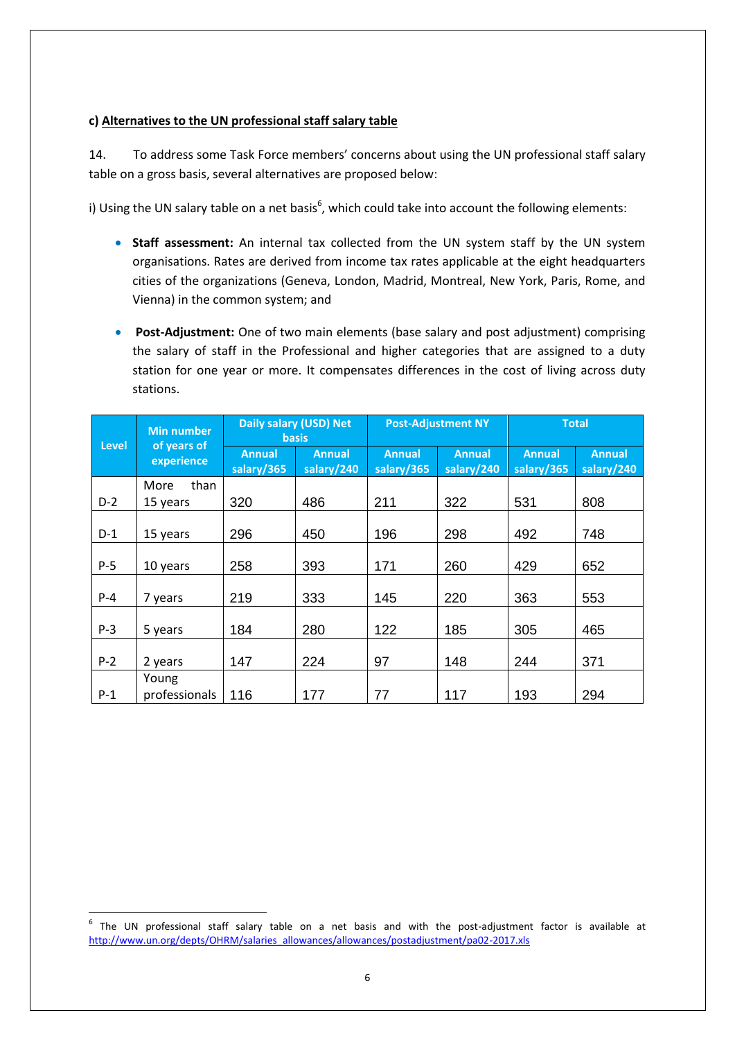#### **c) Alternatives to the UN professional staff salary table**

14. To address some Task Force members' concerns about using the UN professional staff salary table on a gross basis, several alternatives are proposed below:

i) Using the UN salary table on a net basis<sup>6</sup>, which could take into account the following elements:

- **Staff assessment:** An internal tax collected from the UN system staff by the UN system organisations. Rates are derived from income tax rates applicable at the eight headquarters cities of the organizations (Geneva, London, Madrid, Montreal, New York, Paris, Rome, and Vienna) in the common system; and
- **Post-Adjustment:** One of two main elements (base salary and post adjustment) comprising the salary of staff in the Professional and higher categories that are assigned to a duty station for one year or more. It compensates differences in the cost of living across duty stations.

| <b>Level</b> | <b>Min number</b><br>of years of<br>experience | Daily salary (USD) Net<br><b>basis</b> |                             | <b>Post-Adjustment NY</b>   |                             | <b>Total</b>                |                             |
|--------------|------------------------------------------------|----------------------------------------|-----------------------------|-----------------------------|-----------------------------|-----------------------------|-----------------------------|
|              |                                                | <b>Annual</b><br>salary/365            | <b>Annual</b><br>salary/240 | <b>Annual</b><br>salary/365 | <b>Annual</b><br>salary/240 | <b>Annual</b><br>salary/365 | <b>Annual</b><br>salary/240 |
|              | than<br>More                                   |                                        |                             |                             |                             |                             |                             |
| $D-2$        | 15 years                                       | 320                                    | 486                         | 211                         | 322                         | 531                         | 808                         |
| $D-1$        | 15 years                                       | 296                                    | 450                         | 196                         | 298                         | 492                         | 748                         |
| $P-5$        | 10 years                                       | 258                                    | 393                         | 171                         | 260                         | 429                         | 652                         |
| $P - 4$      | 7 years                                        | 219                                    | 333                         | 145                         | 220                         | 363                         | 553                         |
| $P-3$        | 5 years                                        | 184                                    | 280                         | 122                         | 185                         | 305                         | 465                         |
| $P-2$        | 2 years                                        | 147                                    | 224                         | 97                          | 148                         | 244                         | 371                         |
| $P-1$        | Young<br>professionals                         | 116                                    | 177                         | 77                          | 117                         | 193                         | 294                         |

 $\overline{a}$ 

<sup>6</sup> The UN professional staff salary table on a net basis and with the post-adjustment factor is available at [http://www.un.org/depts/OHRM/salaries\\_allowances/allowances/postadjustment/pa02-2017.xls](http://www.un.org/depts/OHRM/salaries_allowances/allowances/postadjustment/pa02-2017.xls)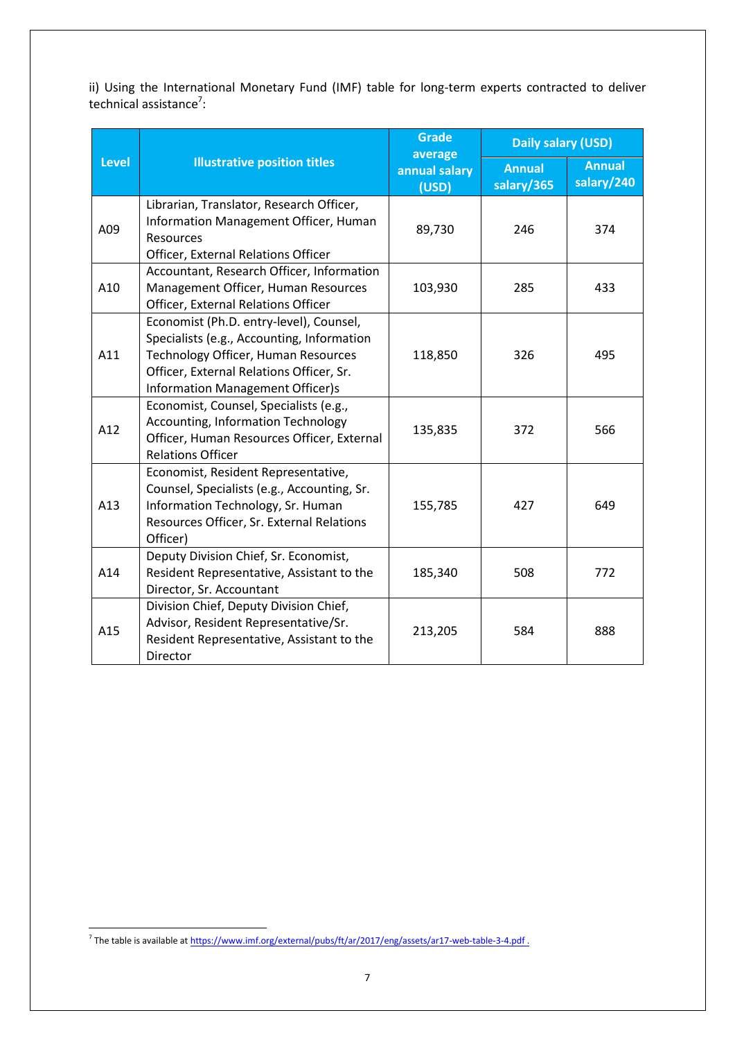ii) Using the International Monetary Fund (IMF) table for long-term experts contracted to deliver technical assistance<sup>7</sup>:

|              |                                                                                                                                                                                                                     | <b>Grade</b><br>average | Daily salary (USD)          |                             |
|--------------|---------------------------------------------------------------------------------------------------------------------------------------------------------------------------------------------------------------------|-------------------------|-----------------------------|-----------------------------|
| <b>Level</b> | <b>Illustrative position titles</b>                                                                                                                                                                                 | annual salary<br>(USD)  | <b>Annual</b><br>salary/365 | <b>Annual</b><br>salary/240 |
| A09          | Librarian, Translator, Research Officer,<br>Information Management Officer, Human<br>Resources<br>Officer, External Relations Officer                                                                               | 89,730                  | 246                         | 374                         |
| A10          | Accountant, Research Officer, Information<br>Management Officer, Human Resources<br>Officer, External Relations Officer                                                                                             | 103,930                 | 285                         | 433                         |
| A11          | Economist (Ph.D. entry-level), Counsel,<br>Specialists (e.g., Accounting, Information<br>Technology Officer, Human Resources<br>Officer, External Relations Officer, Sr.<br><b>Information Management Officer)s</b> | 118,850                 | 326                         | 495                         |
| A12          | Economist, Counsel, Specialists (e.g.,<br><b>Accounting, Information Technology</b><br>Officer, Human Resources Officer, External<br><b>Relations Officer</b>                                                       | 135,835                 | 372                         | 566                         |
| A13          | Economist, Resident Representative,<br>Counsel, Specialists (e.g., Accounting, Sr.<br>Information Technology, Sr. Human<br>Resources Officer, Sr. External Relations<br>Officer)                                    | 155,785                 | 427                         | 649                         |
| A14          | Deputy Division Chief, Sr. Economist,<br>Resident Representative, Assistant to the<br>Director, Sr. Accountant                                                                                                      | 185,340                 | 508                         | 772                         |
| A15          | Division Chief, Deputy Division Chief,<br>Advisor, Resident Representative/Sr.<br>Resident Representative, Assistant to the<br>Director                                                                             | 213,205                 | 584                         | 888                         |

 7 The table is available a[t https://www.imf.org/external/pubs/ft/ar/2017/eng/assets/ar17-web-table-3-4.pdf](https://www.imf.org/external/pubs/ft/ar/2017/eng/assets/ar17-web-table-3-4.pdf) .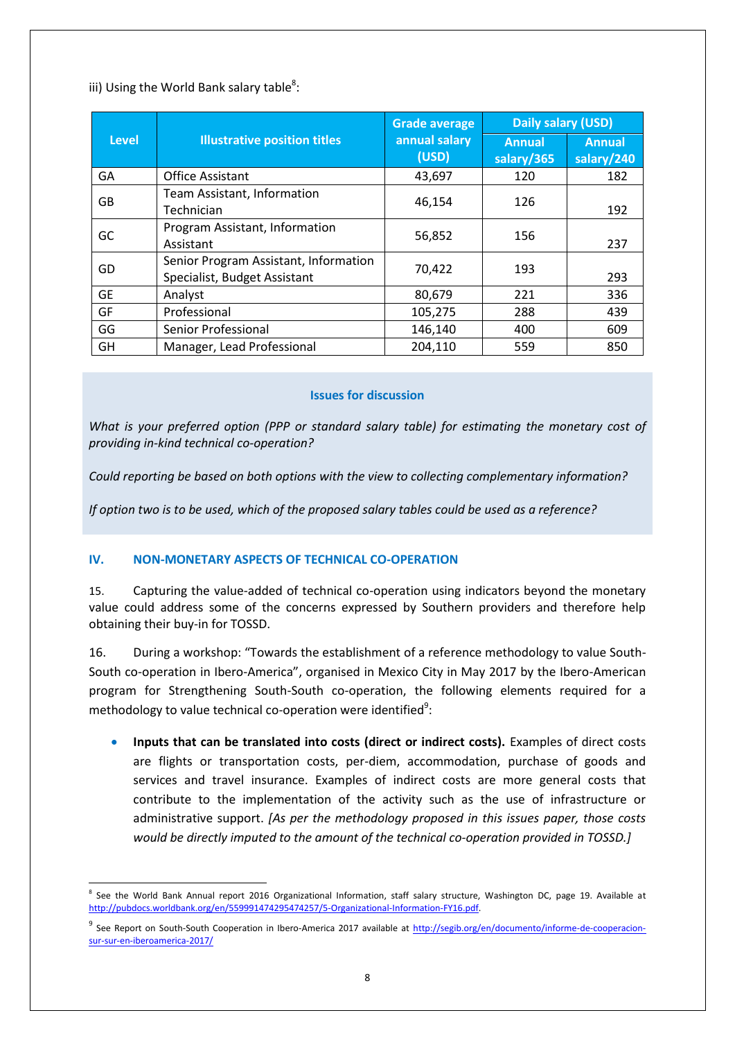## iii) Using the World Bank salary table<sup>8</sup>:

|              |                                                                       | <b>Grade average</b>   | Daily salary (USD)          |                             |
|--------------|-----------------------------------------------------------------------|------------------------|-----------------------------|-----------------------------|
| <b>Level</b> | <b>Illustrative position titles</b>                                   | annual salary<br>(USD) | <b>Annual</b><br>salary/365 | <b>Annual</b><br>salary/240 |
| GA           | <b>Office Assistant</b>                                               | 43,697                 | 120                         | 182                         |
| GB           | Team Assistant, Information<br>Technician                             | 46,154                 | 126                         | 192                         |
| GC           | Program Assistant, Information<br>Assistant                           | 56,852                 | 156                         | 237                         |
| GD           | Senior Program Assistant, Information<br>Specialist, Budget Assistant | 70,422                 | 193                         | 293                         |
| <b>GE</b>    | Analyst                                                               | 80,679                 | 221                         | 336                         |
| GF           | Professional                                                          | 105,275                | 288                         | 439                         |
| GG           | Senior Professional                                                   | 146,140                | 400                         | 609                         |
| GH           | Manager, Lead Professional                                            | 204,110                | 559                         | 850                         |

#### **Issues for discussion**

*What is your preferred option (PPP or standard salary table) for estimating the monetary cost of providing in-kind technical co-operation?*

*Could reporting be based on both options with the view to collecting complementary information?*

*If option two is to be used, which of the proposed salary tables could be used as a reference?* 

### **IV. NON-MONETARY ASPECTS OF TECHNICAL CO-OPERATION**

15. Capturing the value-added of technical co-operation using indicators beyond the monetary value could address some of the concerns expressed by Southern providers and therefore help obtaining their buy-in for TOSSD.

16. During a workshop: "Towards the establishment of a reference methodology to value South-South co-operation in Ibero-America", organised in Mexico City in May 2017 by the Ibero-American program for Strengthening South-South co-operation, the following elements required for a methodology to value technical co-operation were identified<sup>9</sup>:

 **Inputs that can be translated into costs (direct or indirect costs).** Examples of direct costs are flights or transportation costs, per-diem, accommodation, purchase of goods and services and travel insurance. Examples of indirect costs are more general costs that contribute to the implementation of the activity such as the use of infrastructure or administrative support. *[As per the methodology proposed in this issues paper, those costs would be directly imputed to the amount of the technical co-operation provided in TOSSD.]*

**<sup>.</sup>** 8 See the World Bank Annual report 2016 Organizational Information, staff salary structure, Washington DC, page 19. Available at [http://pubdocs.worldbank.org/en/559991474295474257/5-Organizational-Information-FY16.pdf.](http://pubdocs.worldbank.org/en/559991474295474257/5-Organizational-Information-FY16.pdf)

<sup>&</sup>lt;sup>9</sup> See Report on South-South Cooperation in Ibero-America 2017 available at <u>http://segib.org/en/documento/informe-de-cooperacion-</u> [sur-sur-en-iberoamerica-2017/](http://segib.org/en/documento/informe-de-cooperacion-sur-sur-en-iberoamerica-2017/)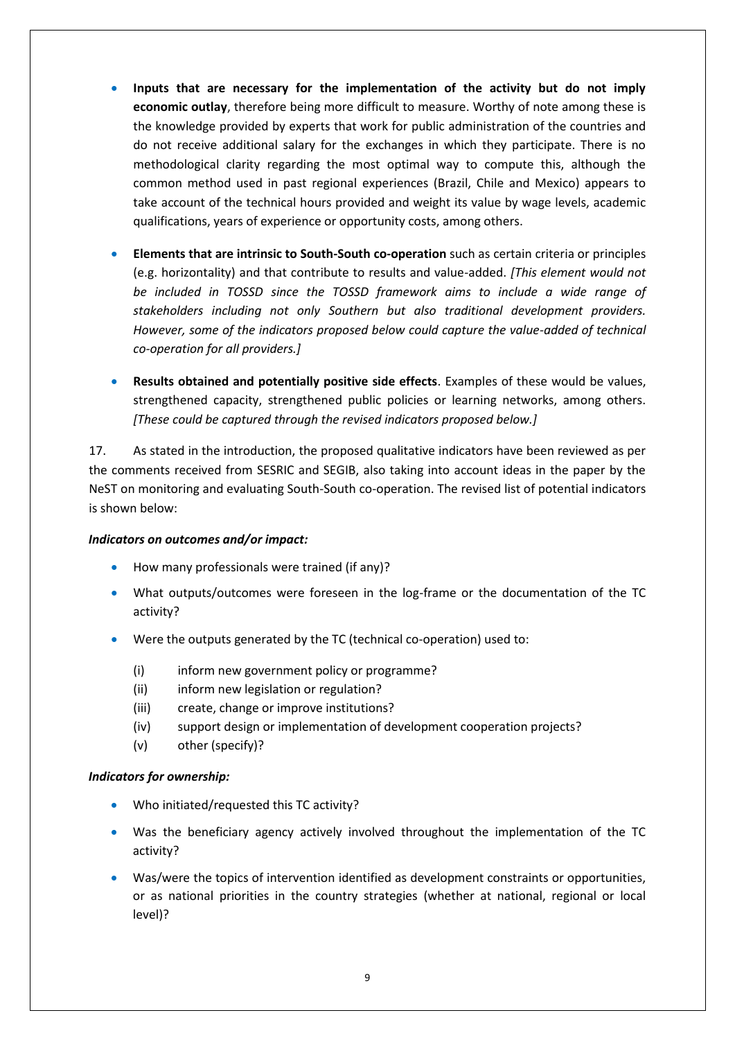- **Inputs that are necessary for the implementation of the activity but do not imply economic outlay**, therefore being more difficult to measure. Worthy of note among these is the knowledge provided by experts that work for public administration of the countries and do not receive additional salary for the exchanges in which they participate. There is no methodological clarity regarding the most optimal way to compute this, although the common method used in past regional experiences (Brazil, Chile and Mexico) appears to take account of the technical hours provided and weight its value by wage levels, academic qualifications, years of experience or opportunity costs, among others.
- **Elements that are intrinsic to South-South co-operation** such as certain criteria or principles (e.g. horizontality) and that contribute to results and value-added. *[This element would not be included in TOSSD since the TOSSD framework aims to include a wide range of stakeholders including not only Southern but also traditional development providers. However, some of the indicators proposed below could capture the value-added of technical co-operation for all providers.]*
- **Results obtained and potentially positive side effects**. Examples of these would be values, strengthened capacity, strengthened public policies or learning networks, among others. *[These could be captured through the revised indicators proposed below.]*

17. As stated in the introduction, the proposed qualitative indicators have been reviewed as per the comments received from SESRIC and SEGIB, also taking into account ideas in the paper by the NeST on monitoring and evaluating South-South co-operation. The revised list of potential indicators is shown below:

#### *Indicators on outcomes and/or impact:*

- How many professionals were trained (if any)?
- What outputs/outcomes were foreseen in the log-frame or the documentation of the TC activity?
- Were the outputs generated by the TC (technical co-operation) used to:
	- (i) inform new government policy or programme?
	- (ii) inform new legislation or regulation?
	- (iii) create, change or improve institutions?
	- (iv) support design or implementation of development cooperation projects?
	- (v) other (specify)?

### *Indicators for ownership:*

- Who initiated/requested this TC activity?
- Was the beneficiary agency actively involved throughout the implementation of the TC activity?
- Was/were the topics of intervention identified as development constraints or opportunities, or as national priorities in the country strategies (whether at national, regional or local level)?